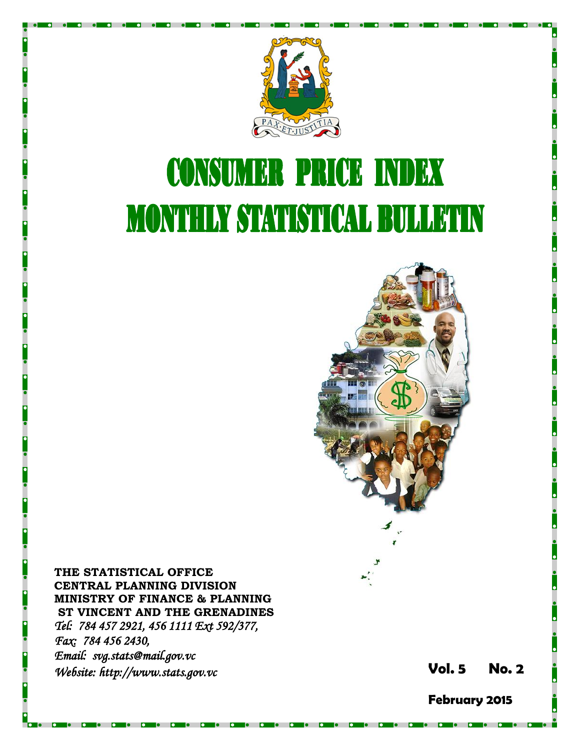

# **CONSUMER PRICE INDEX MONTHLY STATISTICAL BULLETIN**



**THE STATISTICAL OFFICE CENTRAL PLANNING DIVISION MINISTRY OF FINANCE & PLANNING ST VINCENT AND THE GRENADINES** *Tel: 784 457 2921, 456 1111 Ext 592/377, Fax: 784 456 2430, Email: svg.stats@mail.gov.vc Website: http://www.stats.gov.vc* **Vol. 5** 

**5 No. 2**

**February 2015**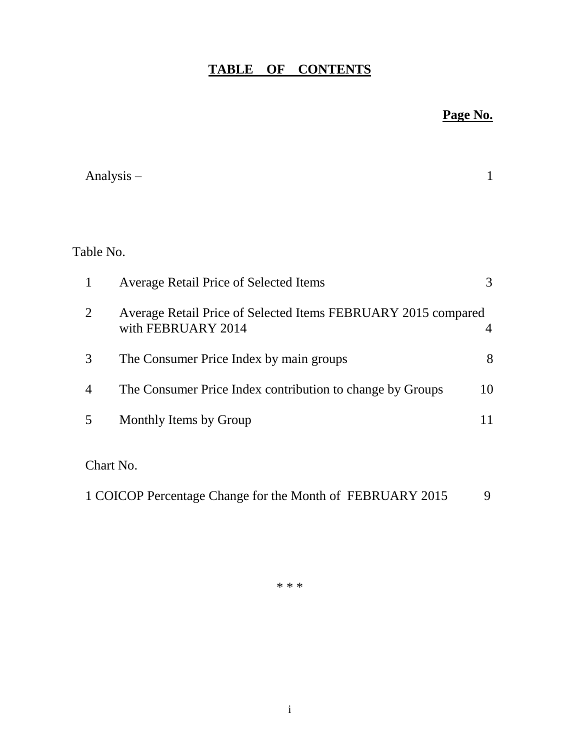# **TABLE OF CONTENTS**

## **Page No.**

|                | Analysis $-$                                                                        |    |
|----------------|-------------------------------------------------------------------------------------|----|
|                |                                                                                     |    |
| Table No.      |                                                                                     |    |
| 1              | <b>Average Retail Price of Selected Items</b>                                       | 3  |
| 2              | Average Retail Price of Selected Items FEBRUARY 2015 compared<br>with FEBRUARY 2014 | 4  |
| 3              | The Consumer Price Index by main groups                                             | 8  |
| $\overline{4}$ | The Consumer Price Index contribution to change by Groups                           | 10 |
| 5              | Monthly Items by Group                                                              | 11 |
|                | Chart No.                                                                           |    |
|                |                                                                                     |    |

1 COICOP Percentage Change for the Month of FEBRUARY 2015 9

\* \* \*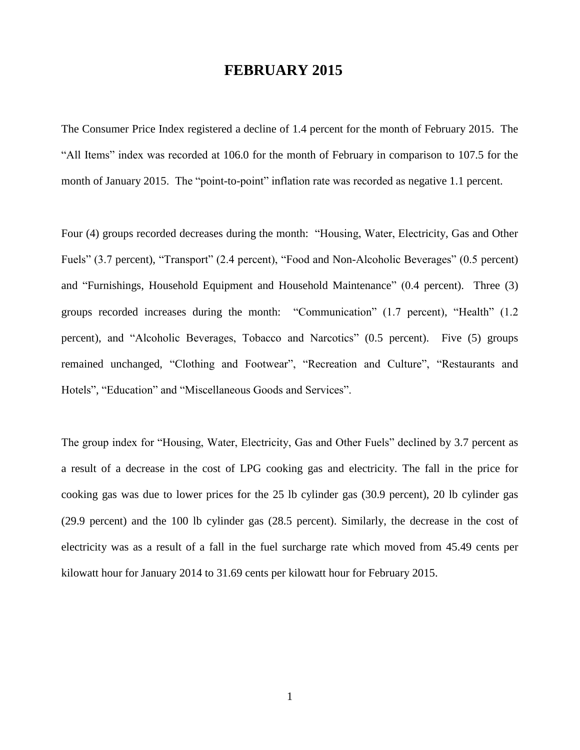## **FEBRUARY 2015**

The Consumer Price Index registered a decline of 1.4 percent for the month of February 2015. The "All Items" index was recorded at 106.0 for the month of February in comparison to 107.5 for the month of January 2015. The "point-to-point" inflation rate was recorded as negative 1.1 percent.

Four (4) groups recorded decreases during the month: "Housing, Water, Electricity, Gas and Other Fuels" (3.7 percent), "Transport" (2.4 percent), "Food and Non-Alcoholic Beverages" (0.5 percent) and "Furnishings, Household Equipment and Household Maintenance" (0.4 percent). Three (3) groups recorded increases during the month: "Communication" (1.7 percent), "Health" (1.2 percent), and "Alcoholic Beverages, Tobacco and Narcotics" (0.5 percent). Five (5) groups remained unchanged, "Clothing and Footwear", "Recreation and Culture", "Restaurants and Hotels", "Education" and "Miscellaneous Goods and Services".

The group index for "Housing, Water, Electricity, Gas and Other Fuels" declined by 3.7 percent as a result of a decrease in the cost of LPG cooking gas and electricity. The fall in the price for cooking gas was due to lower prices for the 25 lb cylinder gas (30.9 percent), 20 lb cylinder gas (29.9 percent) and the 100 lb cylinder gas (28.5 percent). Similarly, the decrease in the cost of electricity was as a result of a fall in the fuel surcharge rate which moved from 45.49 cents per kilowatt hour for January 2014 to 31.69 cents per kilowatt hour for February 2015.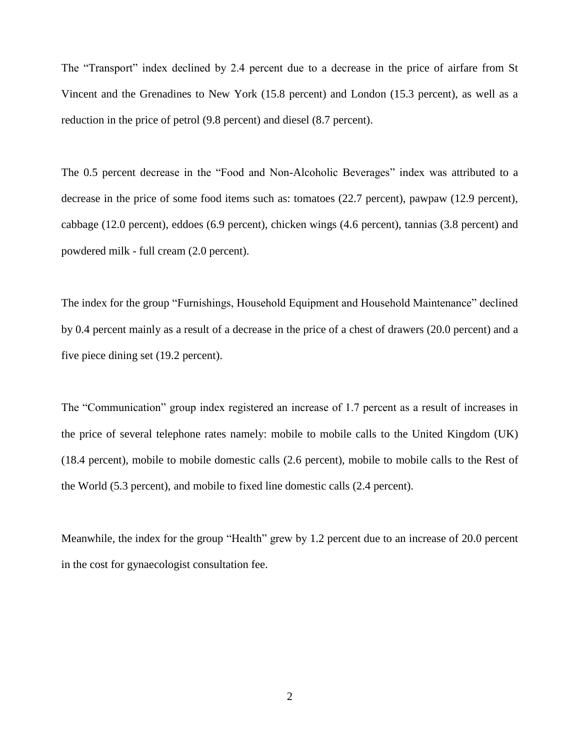The "Transport" index declined by 2.4 percent due to a decrease in the price of airfare from St Vincent and the Grenadines to New York (15.8 percent) and London (15.3 percent), as well as a reduction in the price of petrol (9.8 percent) and diesel (8.7 percent).

The 0.5 percent decrease in the "Food and Non-Alcoholic Beverages" index was attributed to a decrease in the price of some food items such as: tomatoes (22.7 percent), pawpaw (12.9 percent), cabbage (12.0 percent), eddoes (6.9 percent), chicken wings (4.6 percent), tannias (3.8 percent) and powdered milk - full cream (2.0 percent).

The index for the group "Furnishings, Household Equipment and Household Maintenance" declined by 0.4 percent mainly as a result of a decrease in the price of a chest of drawers (20.0 percent) and a five piece dining set (19.2 percent).

The "Communication" group index registered an increase of 1.7 percent as a result of increases in the price of several telephone rates namely: mobile to mobile calls to the United Kingdom (UK) (18.4 percent), mobile to mobile domestic calls (2.6 percent), mobile to mobile calls to the Rest of the World (5.3 percent), and mobile to fixed line domestic calls (2.4 percent).

Meanwhile, the index for the group "Health" grew by 1.2 percent due to an increase of 20.0 percent in the cost for gynaecologist consultation fee.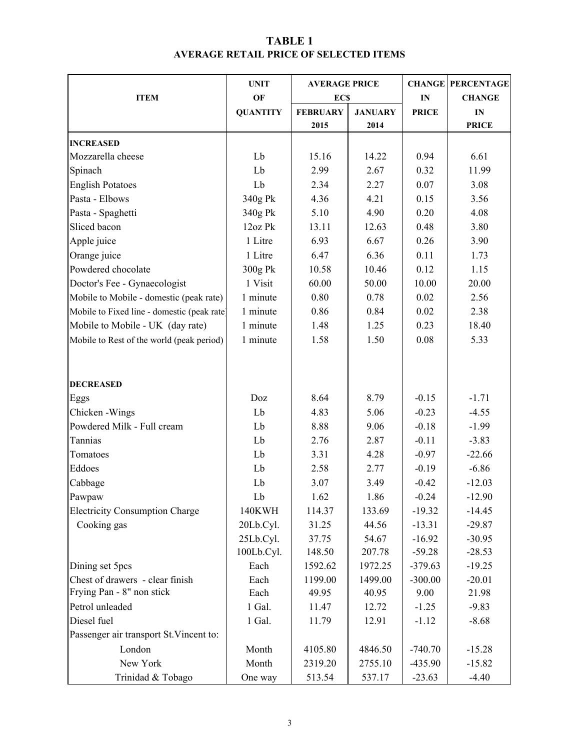### TABLE 1 AVERAGE RETAIL PRICE OF SELECTED ITEMS

|                                             | <b>UNIT</b>     | <b>AVERAGE PRICE</b> |                |              | <b>CHANGE PERCENTAGE</b> |  |
|---------------------------------------------|-----------------|----------------------|----------------|--------------|--------------------------|--|
| <b>ITEM</b>                                 | OF              | <b>ECS</b>           |                | IN           | <b>CHANGE</b>            |  |
|                                             | <b>QUANTITY</b> | <b>FEBRUARY</b>      | <b>JANUARY</b> | <b>PRICE</b> | $\mathbf{IN}$            |  |
|                                             |                 | 2015                 | 2014           |              | <b>PRICE</b>             |  |
| <b>INCREASED</b>                            |                 |                      |                |              |                          |  |
| Mozzarella cheese                           | Lb              | 15.16                | 14.22          | 0.94         | 6.61                     |  |
| Spinach                                     | Lb              | 2.99                 | 2.67           | 0.32         | 11.99                    |  |
| <b>English Potatoes</b>                     | Lb              | 2.34                 | 2.27           | 0.07         | 3.08                     |  |
| Pasta - Elbows                              | 340g Pk         | 4.36                 | 4.21           | 0.15         | 3.56                     |  |
| Pasta - Spaghetti                           | 340g Pk         | 5.10                 | 4.90           | 0.20         | 4.08                     |  |
| Sliced bacon                                | 12oz Pk         | 13.11                | 12.63          | 0.48         | 3.80                     |  |
| Apple juice                                 | 1 Litre         | 6.93                 | 6.67           | 0.26         | 3.90                     |  |
| Orange juice                                | 1 Litre         | 6.47                 | 6.36           | 0.11         | 1.73                     |  |
| Powdered chocolate                          | 300g Pk         | 10.58                | 10.46          | 0.12         | 1.15                     |  |
| Doctor's Fee - Gynaecologist                | 1 Visit         | 60.00                | 50.00          | 10.00        | 20.00                    |  |
| Mobile to Mobile - domestic (peak rate)     | 1 minute        | 0.80                 | 0.78           | 0.02         | 2.56                     |  |
| Mobile to Fixed line - domestic (peak rate) | 1 minute        | 0.86                 | 0.84           | 0.02         | 2.38                     |  |
| Mobile to Mobile - UK (day rate)            | 1 minute        | 1.48                 | 1.25           | 0.23         | 18.40                    |  |
| Mobile to Rest of the world (peak period)   | 1 minute        | 1.58                 | 1.50           | 0.08         | 5.33                     |  |
|                                             |                 |                      |                |              |                          |  |
|                                             |                 |                      |                |              |                          |  |
| <b>DECREASED</b>                            |                 |                      |                |              |                          |  |
| Eggs                                        | Doz             | 8.64                 | 8.79           | $-0.15$      | $-1.71$                  |  |
| Chicken - Wings                             | Lb              | 4.83                 | 5.06           | $-0.23$      | $-4.55$                  |  |
| Powdered Milk - Full cream                  | Lb              | 8.88                 | 9.06           | $-0.18$      | $-1.99$                  |  |
| Tannias                                     | Lb              | 2.76                 | 2.87           | $-0.11$      | $-3.83$                  |  |
| Tomatoes                                    | Lb              | 3.31                 | 4.28           | $-0.97$      | $-22.66$                 |  |
| Eddoes                                      | Lb              | 2.58                 | 2.77           | $-0.19$      | $-6.86$                  |  |
| Cabbage                                     | Lb              | 3.07                 | 3.49           | $-0.42$      | $-12.03$                 |  |
| Pawpaw                                      | Lb              | 1.62                 | 1.86           | $-0.24$      | $-12.90$                 |  |
| <b>Electricity Consumption Charge</b>       | 140KWH          | 114.37               | 133.69         | $-19.32$     | $-14.45$                 |  |
| Cooking gas                                 | 20Lb.Cyl.       | 31.25                | 44.56          | $-13.31$     | $-29.87$                 |  |
|                                             | 25Lb.Cyl.       | 37.75                | 54.67          | $-16.92$     | $-30.95$                 |  |
|                                             | 100Lb.Cyl.      | 148.50               | 207.78         | $-59.28$     | $-28.53$                 |  |
| Dining set 5pcs                             | Each            | 1592.62              | 1972.25        | $-379.63$    | $-19.25$                 |  |
| Chest of drawers - clear finish             | Each            | 1199.00              | 1499.00        | $-300.00$    | $-20.01$                 |  |
| Frying Pan - 8" non stick                   | Each            | 49.95                | 40.95          | 9.00         | 21.98                    |  |
| Petrol unleaded                             | 1 Gal.          | 11.47                | 12.72          | $-1.25$      | $-9.83$                  |  |
| Diesel fuel                                 | 1 Gal.          | 11.79                | 12.91          | $-1.12$      | $-8.68$                  |  |
| Passenger air transport St. Vincent to:     |                 |                      |                |              |                          |  |
| London                                      | Month           | 4105.80              | 4846.50        | $-740.70$    | $-15.28$                 |  |
| New York                                    | Month           | 2319.20              | 2755.10        | $-435.90$    | $-15.82$                 |  |
| Trinidad & Tobago                           | One way         | 513.54               | 537.17         | $-23.63$     | $-4.40$                  |  |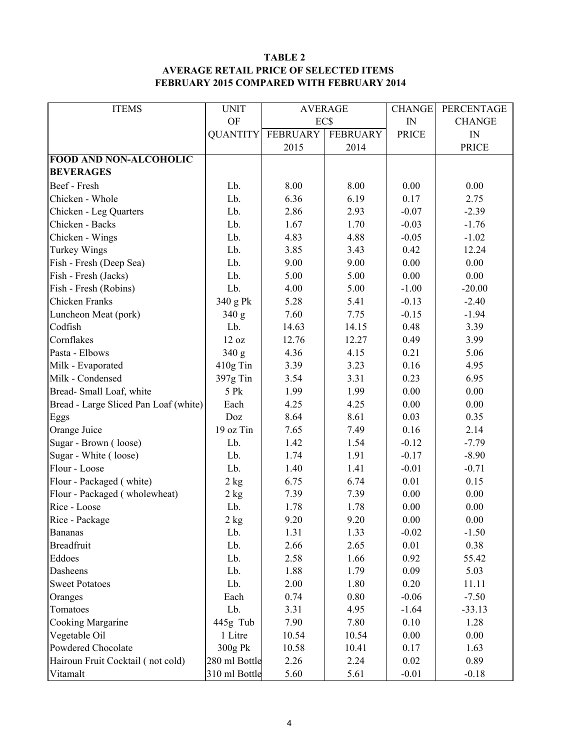#### TABLE 2 AVERAGE RETAIL PRICE OF SELECTED ITEMS FEBRUARY 2015 COMPARED WITH FEBRUARY 2014

| <b>ITEMS</b>                          | <b>UNIT</b>     | <b>AVERAGE</b>  |                 | <b>CHANGE</b> | PERCENTAGE    |
|---------------------------------------|-----------------|-----------------|-----------------|---------------|---------------|
|                                       | <b>OF</b>       | EC\$            |                 | IN            | <b>CHANGE</b> |
|                                       | <b>QUANTITY</b> | <b>FEBRUARY</b> | <b>FEBRUARY</b> | <b>PRICE</b>  | IN            |
|                                       |                 | 2015            | 2014            |               | <b>PRICE</b>  |
| <b>FOOD AND NON-ALCOHOLIC</b>         |                 |                 |                 |               |               |
| <b>BEVERAGES</b>                      |                 |                 |                 |               |               |
| Beef - Fresh                          | Lb.             | 8.00            | 8.00            | 0.00          | 0.00          |
| Chicken - Whole                       | Lb.             | 6.36            | 6.19            | 0.17          | 2.75          |
| Chicken - Leg Quarters                | Lb.             | 2.86            | 2.93            | $-0.07$       | $-2.39$       |
| Chicken - Backs                       | Lb.             | 1.67            | 1.70            | $-0.03$       | $-1.76$       |
| Chicken - Wings                       | Lb.             | 4.83            | 4.88            | $-0.05$       | $-1.02$       |
| <b>Turkey Wings</b>                   | Lb.             | 3.85            | 3.43            | 0.42          | 12.24         |
| Fish - Fresh (Deep Sea)               | Lb.             | 9.00            | 9.00            | 0.00          | 0.00          |
| Fish - Fresh (Jacks)                  | Lb.             | 5.00            | 5.00            | 0.00          | 0.00          |
| Fish - Fresh (Robins)                 | Lb.             | 4.00            | 5.00            | $-1.00$       | $-20.00$      |
| <b>Chicken Franks</b>                 | 340 g Pk        | 5.28            | 5.41            | $-0.13$       | $-2.40$       |
| Luncheon Meat (pork)                  | 340 g           | 7.60            | 7.75            | $-0.15$       | $-1.94$       |
| Codfish                               | Lb.             | 14.63           | 14.15           | 0.48          | 3.39          |
| Cornflakes                            | 12 oz           | 12.76           | 12.27           | 0.49          | 3.99          |
| Pasta - Elbows                        | 340 g           | 4.36            | 4.15            | 0.21          | 5.06          |
| Milk - Evaporated                     | $410g$ Tin      | 3.39            | 3.23            | 0.16          | 4.95          |
| Milk - Condensed                      | 397g Tin        | 3.54            | 3.31            | 0.23          | 6.95          |
| Bread-Small Loaf, white               | 5 Pk            | 1.99            | 1.99            | 0.00          | 0.00          |
| Bread - Large Sliced Pan Loaf (white) | Each            | 4.25            | 4.25            | 0.00          | 0.00          |
| Eggs                                  | Doz             | 8.64            | 8.61            | 0.03          | 0.35          |
| Orange Juice                          | 19 oz Tin       | 7.65            | 7.49            | 0.16          | 2.14          |
| Sugar - Brown (loose)                 | Lb.             | 1.42            | 1.54            | $-0.12$       | $-7.79$       |
| Sugar - White (loose)                 | Lb.             | 1.74            | 1.91            | $-0.17$       | $-8.90$       |
| Flour - Loose                         | Lb.             | 1.40            | 1.41            | $-0.01$       | $-0.71$       |
| Flour - Packaged (white)              | $2$ kg          | 6.75            | 6.74            | 0.01          | 0.15          |
| Flour - Packaged (wholewheat)         | $2\;{\rm kg}$   | 7.39            | 7.39            | 0.00          | 0.00          |
| Rice - Loose                          | Lb.             | 1.78            | 1.78            | 0.00          | 0.00          |
| Rice - Package                        | 2 kg            | 9.20            | 9.20            | 0.00          | 0.00          |
| <b>Bananas</b>                        | Lb.             | 1.31            | 1.33            | $-0.02$       | $-1.50$       |
| <b>Breadfruit</b>                     | Lb.             | 2.66            | 2.65            | 0.01          | 0.38          |
| Eddoes                                | Lb.             | 2.58            | 1.66            | 0.92          | 55.42         |
| Dasheens                              | Lb.             | 1.88            | 1.79            | 0.09          | 5.03          |
| <b>Sweet Potatoes</b>                 | Lb.             | 2.00            | 1.80            | 0.20          | 11.11         |
| Oranges                               | Each            | 0.74            | 0.80            | $-0.06$       | $-7.50$       |
| Tomatoes                              | Lb.             | 3.31            | 4.95            | $-1.64$       | $-33.13$      |
| Cooking Margarine                     | $445g$ Tub      | 7.90            | 7.80            | 0.10          | 1.28          |
| Vegetable Oil                         | 1 Litre         | 10.54           | 10.54           | 0.00          | 0.00          |
| Powdered Chocolate                    | 300g Pk         | 10.58           | 10.41           | 0.17          | 1.63          |
| Hairoun Fruit Cocktail (not cold)     | 280 ml Bottle   | 2.26            | 2.24            | 0.02          | 0.89          |
| Vitamalt                              | 310 ml Bottle   | 5.60            | 5.61            | $-0.01$       | $-0.18$       |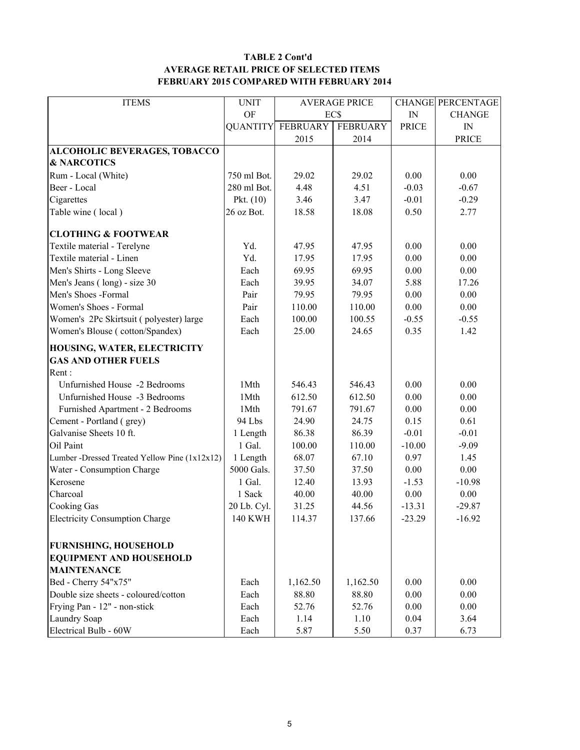#### TABLE 2 Cont'd AVERAGE RETAIL PRICE OF SELECTED ITEMS FEBRUARY 2015 COMPARED WITH FEBRUARY 2014

| <b>ITEMS</b>                                  | <b>UNIT</b> | <b>AVERAGE PRICE</b>     |                 |              | <b>CHANGE PERCENTAGE</b> |
|-----------------------------------------------|-------------|--------------------------|-----------------|--------------|--------------------------|
|                                               | <b>OF</b>   | EC\$                     |                 | IN           | <b>CHANGE</b>            |
|                                               |             | <b>QUANTITY FEBRUARY</b> | <b>FEBRUARY</b> | <b>PRICE</b> | IN                       |
|                                               |             | 2015                     | 2014            |              | <b>PRICE</b>             |
| ALCOHOLIC BEVERAGES, TOBACCO                  |             |                          |                 |              |                          |
| <b>&amp; NARCOTICS</b>                        |             |                          |                 |              |                          |
| Rum - Local (White)                           | 750 ml Bot. | 29.02                    | 29.02           | 0.00         | 0.00                     |
| Beer - Local                                  | 280 ml Bot. | 4.48                     | 4.51            | $-0.03$      | $-0.67$                  |
| Cigarettes                                    | Pkt. $(10)$ | 3.46                     | 3.47            | $-0.01$      | $-0.29$                  |
| Table wine (local)                            | 26 oz Bot.  | 18.58                    | 18.08           | 0.50         | 2.77                     |
| <b>CLOTHING &amp; FOOTWEAR</b>                |             |                          |                 |              |                          |
| Textile material - Terelyne                   | Yd.         | 47.95                    | 47.95           | 0.00         | 0.00                     |
| Textile material - Linen                      | Yd.         | 17.95                    | 17.95           | 0.00         | 0.00                     |
| Men's Shirts - Long Sleeve                    | Each        | 69.95                    | 69.95           | 0.00         | 0.00                     |
| Men's Jeans (long) - size 30                  | Each        | 39.95                    | 34.07           | 5.88         | 17.26                    |
| Men's Shoes -Formal                           | Pair        | 79.95                    | 79.95           | 0.00         | 0.00                     |
| Women's Shoes - Formal                        | Pair        | 110.00                   | 110.00          | 0.00         | 0.00                     |
| Women's 2Pc Skirtsuit (polyester) large       | Each        | 100.00                   | 100.55          | $-0.55$      | $-0.55$                  |
| Women's Blouse (cotton/Spandex)               | Each        | 25.00                    | 24.65           | 0.35         | 1.42                     |
| HOUSING, WATER, ELECTRICITY                   |             |                          |                 |              |                          |
| <b>GAS AND OTHER FUELS</b>                    |             |                          |                 |              |                          |
| Rent:                                         |             |                          |                 |              |                          |
| Unfurnished House -2 Bedrooms                 | 1Mth        | 546.43                   | 546.43          | 0.00         | 0.00                     |
| Unfurnished House -3 Bedrooms                 | 1Mth        | 612.50                   | 612.50          | 0.00         | 0.00                     |
| Furnished Apartment - 2 Bedrooms              | 1Mth        | 791.67                   | 791.67          | 0.00         | 0.00                     |
| Cement - Portland (grey)                      | 94 Lbs      | 24.90                    | 24.75           | 0.15         | 0.61                     |
| Galvanise Sheets 10 ft.                       | 1 Length    | 86.38                    | 86.39           | $-0.01$      | $-0.01$                  |
| Oil Paint                                     | 1 Gal.      | 100.00                   | 110.00          | $-10.00$     | $-9.09$                  |
| Lumber -Dressed Treated Yellow Pine (1x12x12) | 1 Length    | 68.07                    | 67.10           | 0.97         | 1.45                     |
| Water - Consumption Charge                    | 5000 Gals.  | 37.50                    | 37.50           | 0.00         | 0.00                     |
| Kerosene                                      | 1 Gal.      | 12.40                    | 13.93           | $-1.53$      | $-10.98$                 |
| Charcoal                                      | 1 Sack      | 40.00                    | 40.00           | 0.00         | 0.00                     |
| <b>Cooking Gas</b>                            | 20 Lb. Cyl. | 31.25                    | 44.56           | $-13.31$     | $-29.87$                 |
| <b>Electricity Consumption Charge</b>         | 140 KWH     | 114.37                   | 137.66          | $-23.29$     | $-16.92$                 |
| <b>FURNISHING, HOUSEHOLD</b>                  |             |                          |                 |              |                          |
| <b>EQUIPMENT AND HOUSEHOLD</b>                |             |                          |                 |              |                          |
| <b>MAINTENANCE</b>                            |             |                          |                 |              |                          |
| Bed - Cherry 54"x75"                          | Each        | 1,162.50                 | 1,162.50        | 0.00         | 0.00                     |
| Double size sheets - coloured/cotton          | Each        | 88.80                    | 88.80           | 0.00         | 0.00                     |
| Frying Pan - 12" - non-stick                  | Each        | 52.76                    | 52.76           | 0.00         | $0.00\,$                 |
| Laundry Soap                                  | Each        | 1.14                     | 1.10            | 0.04         | 3.64                     |
| Electrical Bulb - 60W                         | Each        | 5.87                     | 5.50            | 0.37         | 6.73                     |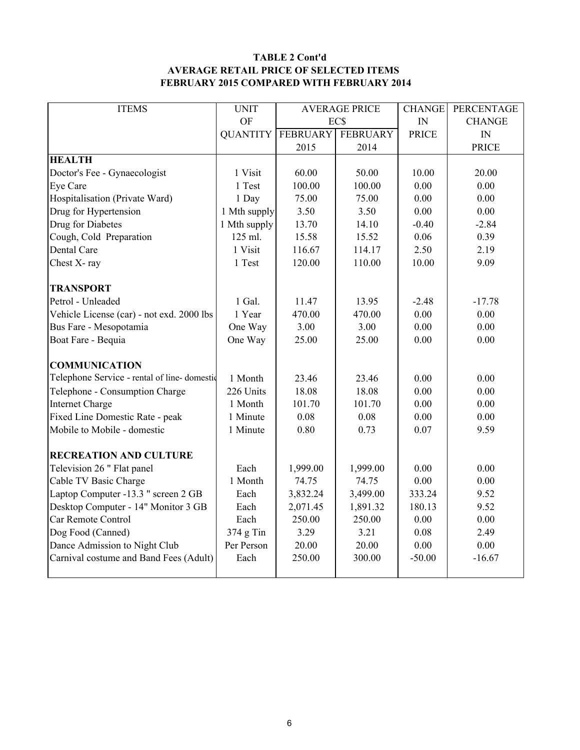#### TABLE 2 Cont'd AVERAGE RETAIL PRICE OF SELECTED ITEMS FEBRUARY 2015 COMPARED WITH FEBRUARY 2014

| <b>ITEMS</b>                                 | <b>UNIT</b>     | <b>AVERAGE PRICE</b> |                 | <b>CHANGE</b> | PERCENTAGE    |
|----------------------------------------------|-----------------|----------------------|-----------------|---------------|---------------|
|                                              | OF              |                      | EC\$            |               | <b>CHANGE</b> |
|                                              | <b>QUANTITY</b> | <b>FEBRUARY</b>      | <b>FEBRUARY</b> | <b>PRICE</b>  | IN            |
|                                              |                 | 2015                 | 2014            |               | <b>PRICE</b>  |
| <b>HEALTH</b>                                |                 |                      |                 |               |               |
| Doctor's Fee - Gynaecologist                 | 1 Visit         | 60.00                | 50.00           | 10.00         | 20.00         |
| Eye Care                                     | 1 Test          | 100.00               | 100.00          | 0.00          | 0.00          |
| Hospitalisation (Private Ward)               | 1 Day           | 75.00                | 75.00           | 0.00          | 0.00          |
| Drug for Hypertension                        | 1 Mth supply    | 3.50                 | 3.50            | 0.00          | 0.00          |
| Drug for Diabetes                            | 1 Mth supply    | 13.70                | 14.10           | $-0.40$       | $-2.84$       |
| Cough, Cold Preparation                      | 125 ml.         | 15.58                | 15.52           | 0.06          | 0.39          |
| Dental Care                                  | 1 Visit         | 116.67               | 114.17          | 2.50          | 2.19          |
| Chest X-ray                                  | 1 Test          | 120.00               | 110.00          | 10.00         | 9.09          |
|                                              |                 |                      |                 |               |               |
| <b>TRANSPORT</b>                             |                 |                      |                 |               |               |
| Petrol - Unleaded                            | 1 Gal.          | 11.47                | 13.95           | $-2.48$       | $-17.78$      |
| Vehicle License (car) - not exd. 2000 lbs    | 1 Year          | 470.00               | 470.00          | 0.00          | 0.00          |
| Bus Fare - Mesopotamia                       | One Way         | 3.00                 | 3.00            | 0.00          | 0.00          |
| Boat Fare - Bequia                           | One Way         | 25.00                | 25.00           | 0.00          | 0.00          |
|                                              |                 |                      |                 |               |               |
| <b>COMMUNICATION</b>                         |                 |                      |                 |               |               |
| Telephone Service - rental of line- domestic | 1 Month         | 23.46                | 23.46           | 0.00          | 0.00          |
| Telephone - Consumption Charge               | 226 Units       | 18.08                | 18.08           | 0.00          | 0.00          |
| <b>Internet Charge</b>                       | 1 Month         | 101.70               | 101.70          | 0.00          | 0.00          |
| Fixed Line Domestic Rate - peak              | 1 Minute        | 0.08                 | 0.08            | 0.00          | 0.00          |
| Mobile to Mobile - domestic                  | 1 Minute        | 0.80                 | 0.73            | 0.07          | 9.59          |
|                                              |                 |                      |                 |               |               |
| <b>RECREATION AND CULTURE</b>                |                 |                      |                 |               |               |
| Television 26 " Flat panel                   | Each            | 1,999.00             | 1,999.00        | 0.00          | 0.00          |
| Cable TV Basic Charge                        | 1 Month         | 74.75                | 74.75           | 0.00          | 0.00          |
| Laptop Computer -13.3 " screen 2 GB          | Each            | 3,832.24             | 3,499.00        | 333.24        | 9.52          |
| Desktop Computer - 14" Monitor 3 GB          | Each            | 2,071.45             | 1,891.32        | 180.13        | 9.52          |
| Car Remote Control                           | Each            | 250.00               | 250.00          | 0.00          | 0.00          |
| Dog Food (Canned)                            | 374 g Tin       | 3.29                 | 3.21            | 0.08          | 2.49          |
| Dance Admission to Night Club                | Per Person      | 20.00                | 20.00           | 0.00          | 0.00          |
| Carnival costume and Band Fees (Adult)       | Each            | 250.00               | 300.00          | $-50.00$      | $-16.67$      |
|                                              |                 |                      |                 |               |               |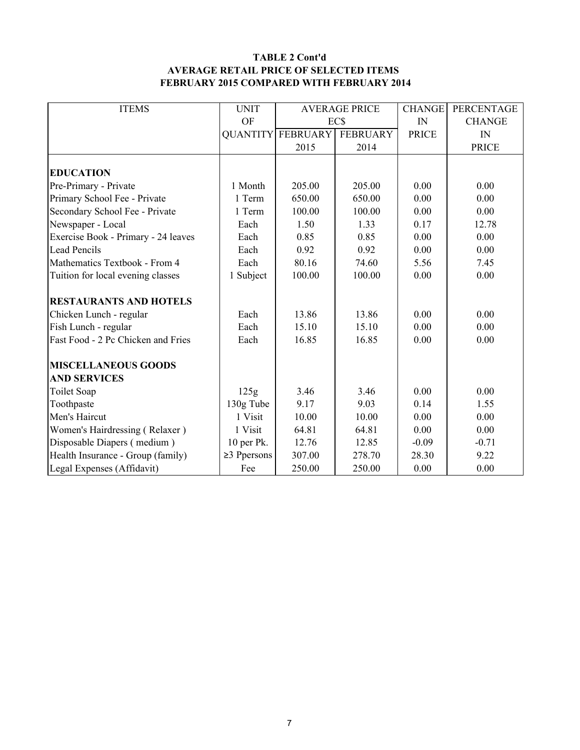#### TABLE 2 Cont'd AVERAGE RETAIL PRICE OF SELECTED ITEMS FEBRUARY 2015 COMPARED WITH FEBRUARY 2014

| <b>ITEMS</b>                        | <b>UNIT</b>       | <b>AVERAGE PRICE</b>     |                 | <b>CHANGE</b> | PERCENTAGE    |
|-------------------------------------|-------------------|--------------------------|-----------------|---------------|---------------|
|                                     | OF                |                          | EC\$            |               | <b>CHANGE</b> |
|                                     |                   | <b>QUANTITY FEBRUARY</b> | <b>FEBRUARY</b> | <b>PRICE</b>  | IN            |
|                                     |                   | 2015                     | 2014            |               | <b>PRICE</b>  |
|                                     |                   |                          |                 |               |               |
| <b>EDUCATION</b>                    |                   |                          |                 |               |               |
| Pre-Primary - Private               | 1 Month           | 205.00                   | 205.00          | 0.00          | 0.00          |
| Primary School Fee - Private        | 1 Term            | 650.00                   | 650.00          | 0.00          | 0.00          |
| Secondary School Fee - Private      | 1 Term            | 100.00                   | 100.00          | 0.00          | 0.00          |
| Newspaper - Local                   | Each              | 1.50                     | 1.33            | 0.17          | 12.78         |
| Exercise Book - Primary - 24 leaves | Each              | 0.85                     | 0.85            | 0.00          | 0.00          |
| <b>Lead Pencils</b>                 | Each              | 0.92                     | 0.92            | 0.00          | 0.00          |
| Mathematics Textbook - From 4       | Each              | 80.16                    | 74.60           | 5.56          | 7.45          |
| Tuition for local evening classes   | 1 Subject         | 100.00                   | 100.00          | 0.00          | 0.00          |
|                                     |                   |                          |                 |               |               |
| <b>RESTAURANTS AND HOTELS</b>       |                   |                          |                 |               |               |
| Chicken Lunch - regular             | Each              | 13.86                    | 13.86           | 0.00          | 0.00          |
| Fish Lunch - regular                | Each              | 15.10                    | 15.10           | 0.00          | 0.00          |
| Fast Food - 2 Pc Chicken and Fries  | Each              | 16.85                    | 16.85           | 0.00          | 0.00          |
|                                     |                   |                          |                 |               |               |
| <b>MISCELLANEOUS GOODS</b>          |                   |                          |                 |               |               |
| <b>AND SERVICES</b>                 |                   |                          |                 |               |               |
| Toilet Soap                         | 125g              | 3.46                     | 3.46            | 0.00          | 0.00          |
| Toothpaste                          | 130g Tube         | 9.17                     | 9.03            | 0.14          | 1.55          |
| Men's Haircut                       | 1 Visit           | 10.00                    | 10.00           | 0.00          | 0.00          |
| Women's Hairdressing (Relaxer)      | 1 Visit           | 64.81                    | 64.81           | 0.00          | 0.00          |
| Disposable Diapers (medium)         | 10 per Pk.        | 12.76                    | 12.85           | $-0.09$       | $-0.71$       |
| Health Insurance - Group (family)   | $\geq$ 3 Ppersons | 307.00                   | 278.70          | 28.30         | 9.22          |
| Legal Expenses (Affidavit)          | Fee               | 250.00                   | 250.00          | 0.00          | 0.00          |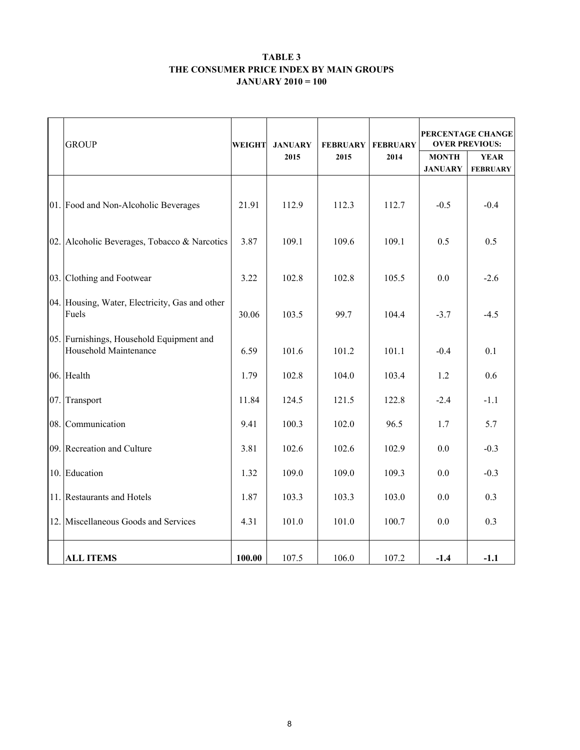#### TABLE 3 THE CONSUMER PRICE INDEX BY MAIN GROUPS JANUARY 2010 = 100

|     | <b>GROUP</b><br><b>WEIGHT</b>                                     |        | <b>JANUARY</b> | <b>FEBRUARY</b> | <b>FEBRUARY</b> | PERCENTAGE CHANGE<br><b>OVER PREVIOUS:</b> |                                |  |  |
|-----|-------------------------------------------------------------------|--------|----------------|-----------------|-----------------|--------------------------------------------|--------------------------------|--|--|
|     |                                                                   |        | 2015           | 2015            | 2014            | <b>MONTH</b><br><b>JANUARY</b>             | <b>YEAR</b><br><b>FEBRUARY</b> |  |  |
|     | 01. Food and Non-Alcoholic Beverages                              | 21.91  | 112.9          | 112.3           | 112.7           | $-0.5$                                     | $-0.4$                         |  |  |
|     | 02. Alcoholic Beverages, Tobacco & Narcotics                      | 3.87   | 109.1          | 109.6           | 109.1           | 0.5                                        | 0.5                            |  |  |
|     | 03. Clothing and Footwear                                         | 3.22   | 102.8          | 102.8           | 105.5           | 0.0                                        | $-2.6$                         |  |  |
|     | 04. Housing, Water, Electricity, Gas and other<br>Fuels           |        | 103.5          | 99.7            | 104.4           | $-3.7$                                     | $-4.5$                         |  |  |
|     | 05. Furnishings, Household Equipment and<br>Household Maintenance | 6.59   | 101.6          | 101.2           | 101.1           | $-0.4$                                     | 0.1                            |  |  |
|     | 06. Health                                                        | 1.79   | 102.8          | 104.0           | 103.4           | 1.2                                        | 0.6                            |  |  |
| 07. | Transport                                                         | 11.84  | 124.5          | 121.5           | 122.8           | $-2.4$                                     | $-1.1$                         |  |  |
|     | 08. Communication                                                 | 9.41   | 100.3          | 102.0           | 96.5            | 1.7                                        | 5.7                            |  |  |
|     | 09. Recreation and Culture                                        | 3.81   | 102.6          | 102.6           | 102.9           | 0.0                                        | $-0.3$                         |  |  |
|     | 10. Education                                                     | 1.32   | 109.0          | 109.0           | 109.3           | 0.0                                        | $-0.3$                         |  |  |
|     | 11. Restaurants and Hotels                                        | 1.87   | 103.3          | 103.3           | 103.0           | 0.0                                        | 0.3                            |  |  |
|     | 12. Miscellaneous Goods and Services                              | 4.31   | 101.0          | 101.0           | 100.7           | 0.0                                        | 0.3                            |  |  |
|     | <b>ALL ITEMS</b>                                                  | 100.00 | 107.5          | 106.0           | 107.2           | $-1.4$                                     | $-1.1$                         |  |  |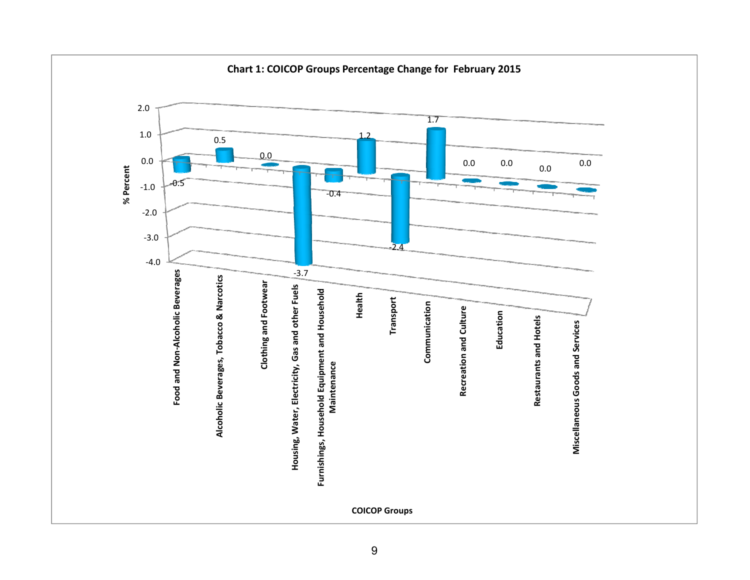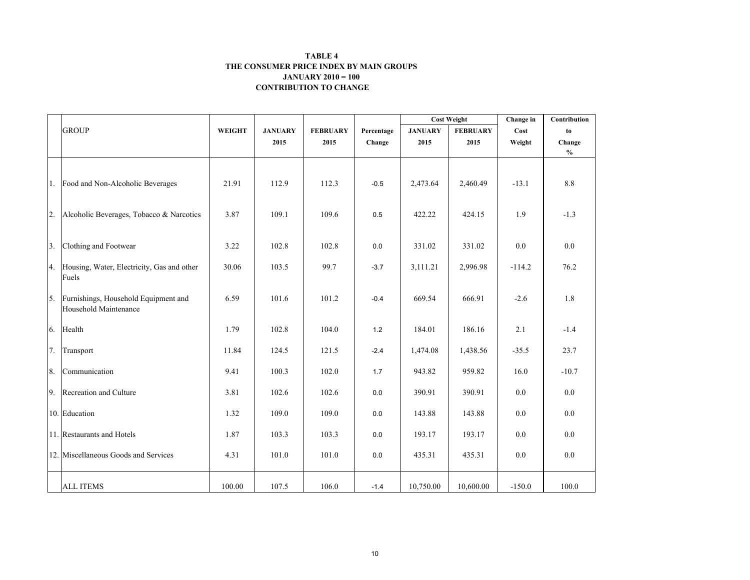#### CONTRIBUTION TO CHANGE TABLE 4 THE CONSUMER PRICE INDEX BY MAIN GROUPSJANUARY 2010 = 100

|    |                                                               |               |                |                 |            | <b>Cost Weight</b> |                 | Change in | Contribution                       |
|----|---------------------------------------------------------------|---------------|----------------|-----------------|------------|--------------------|-----------------|-----------|------------------------------------|
|    | <b>GROUP</b>                                                  | <b>WEIGHT</b> | <b>JANUARY</b> | <b>FEBRUARY</b> | Percentage | <b>JANUARY</b>     | <b>FEBRUARY</b> | Cost      | to                                 |
|    |                                                               |               | 2015           | 2015            | Change     | 2015               | 2015            | Weight    | Change                             |
|    |                                                               |               |                |                 |            |                    |                 |           | $\mathbf{0}_{\mathbf{0}}^{\prime}$ |
|    | 1. Food and Non-Alcoholic Beverages                           | 21.91         | 112.9          | 112.3           | $-0.5$     | 2,473.64           | 2,460.49        | $-13.1$   | $8.8\,$                            |
| 2. | Alcoholic Beverages, Tobacco & Narcotics                      | 3.87          | 109.1          | 109.6           | 0.5        | 422.22             | 424.15          | 1.9       | $-1.3$                             |
| 3. | Clothing and Footwear                                         | 3.22          | 102.8          | 102.8           | 0.0        | 331.02             | 331.02          | $0.0\,$   | 0.0                                |
|    | 4. Housing, Water, Electricity, Gas and other<br>Fuels        | 30.06         | 103.5          | 99.7            | $-3.7$     | 3,111.21           | 2,996.98        | $-114.2$  | 76.2                               |
| 5. | Furnishings, Household Equipment and<br>Household Maintenance | 6.59          | 101.6          | 101.2           | $-0.4$     | 669.54             | 666.91          | $-2.6$    | 1.8                                |
| 6. | Health                                                        | 1.79          | 102.8          | 104.0           | 1.2        | 184.01             | 186.16          | 2.1       | $-1.4$                             |
| 7. | Transport                                                     | 11.84         | 124.5          | 121.5           | $-2.4$     | 1,474.08           | 1,438.56        | $-35.5$   | 23.7                               |
| 8. | Communication                                                 | 9.41          | 100.3          | 102.0           | 1.7        | 943.82             | 959.82          | 16.0      | $-10.7$                            |
| 9. | Recreation and Culture                                        | 3.81          | 102.6          | 102.6           | 0.0        | 390.91             | 390.91          | 0.0       | 0.0                                |
|    | 10. Education                                                 | 1.32          | 109.0          | 109.0           | 0.0        | 143.88             | 143.88          | 0.0       | 0.0                                |
|    | 11. Restaurants and Hotels                                    | 1.87          | 103.3          | 103.3           | 0.0        | 193.17             | 193.17          | 0.0       | 0.0                                |
|    | 12. Miscellaneous Goods and Services                          | 4.31          | 101.0          | 101.0           | 0.0        | 435.31             | 435.31          | 0.0       | 0.0                                |
|    | <b>ALL ITEMS</b>                                              | 100.00        | 107.5          | 106.0           | $-1.4$     | 10,750.00          | 10,600.00       | $-150.0$  | 100.0                              |